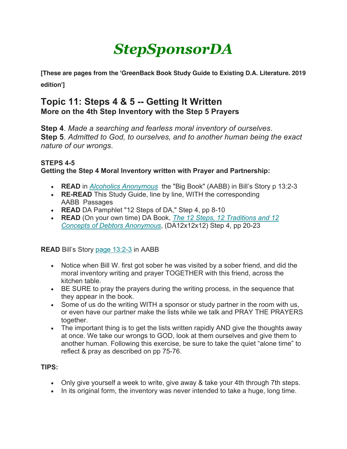# *StepSponsorDA*

**[These are pages from the 'GreenBack Book Study Guide to Existing D.A. Literature. 2019 edition']**

## **Topic 11: Steps 4 & 5 -- Getting It Written More on the 4th Step Inventory with the Step 5 Prayers**

**Step 4**. *Made a searching and fearless moral inventory of ourselves*. **Step 5**. *Admitted to God, to ourselves, and to another human being the exact nature of our wrongs*.

### **STEPS 4-5**

## **Getting the Step 4 Moral Inventory written with Prayer and Partnership:**

- **READ** in *Alcoholics Anonymous* the "Big Book" (AABB) in Bill's Story p 13:2-3
- **RE-READ** This Study Guide, line by line, WITH the corresponding AABB Passages
- **READ** DA Pamphlet "12 Steps of DA," Step 4, pp 8-10
- **READ** (On your own time) DA Book, *The 12 Steps, 12 Traditions and 12 Concepts of Debtors Anonymous*, (DA12x12x12) Step 4, pp 20-23

**READ** Bill's Story page 13:2-3 in AABB

- Notice when Bill W. first got sober he was visited by a sober friend, and did the moral inventory writing and prayer TOGETHER with this friend, across the kitchen table.
- BE SURE to pray the prayers during the writing process, in the sequence that they appear in the book.
- Some of us do the writing WITH a sponsor or study partner in the room with us, or even have our partner make the lists while we talk and PRAY THE PRAYERS together.
- The important thing is to get the lists written rapidly AND give the thoughts away at once. We take our wrongs to GOD, look at them ourselves and give them to another human. Following this exercise, be sure to take the quiet "alone time" to reflect & pray as described on pp 75-76.

#### **TIPS:**

- Only give yourself a week to write, give away & take your 4th through 7th steps.
- In its original form, the inventory was never intended to take a huge, long time.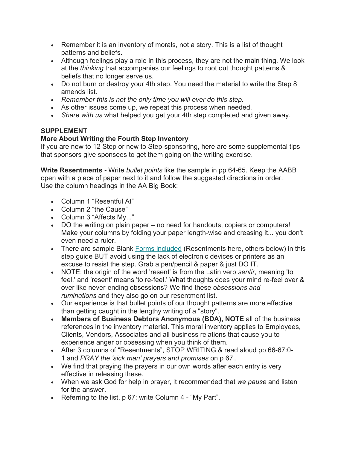- Remember it is an inventory of morals, not a story. This is a list of thought patterns and beliefs.
- Although feelings play a role in this process, they are not the main thing. We look at the *thinking* that accompanies our feelings to root out thought patterns & beliefs that no longer serve us.
- Do not burn or destroy your 4th step. You need the material to write the Step 8 amends list.
- *Remember this is not the only time you will ever do this step.*
- As other issues come up, we repeat this process when needed.
- *Share with us* what helped you get your 4th step completed and given away.

## **SUPPLEMENT**

## **More About Writing the Fourth Step Inventory**

If you are new to 12 Step or new to Step-sponsoring, here are some supplemental tips that sponsors give sponsees to get them going on the writing exercise.

**Write Resentments -** Write *bullet points* like the sample in pp 64-65. Keep the AABB open with a piece of paper next to it and follow the suggested directions in order. Use the column headings in the AA Big Book:

- Column 1 "Resentful At"
- Column 2 "the Cause"
- Column 3 "Affects My..."
- DO the writing on plain paper no need for handouts, copiers or computers! Make your columns by folding your paper length-wise and creasing it... you don't even need a ruler.
- There are sample Blank Forms included (Resentments here, others below) in this step guide BUT avoid using the lack of electronic devices or printers as an excuse to resist the step. Grab a pen/pencil & paper & just DO IT.
- NOTE: the origin of the word 'resent' is from the Latin verb *sentir*, meaning 'to feel,' and 'resent' means 'to re-feel.' What thoughts does your mind re-feel over & over like never-ending obsessions? We find these *obsessions and ruminations* and they also go on our resentment list.
- Our experience is that bullet points of our thought patterns are more effective than getting caught in the lengthy writing of a "story".
- **Members of Business Debtors Anonymous (BDA), NOTE** all of the business references in the inventory material. This moral inventory applies to Employees, Clients, Vendors, Associates and all business relations that cause you to experience anger or obsessing when you think of them.
- After 3 columns of "Resentments", STOP WRITING & read aloud pp 66-67:0- 1 and *PRAY the 'sick man' prayers and promises* on p 67..
- We find that praying the prayers in our own words after each entry is very effective in releasing these.
- When we ask God for help in prayer, it recommended that *we pause* and listen for the answer.
- Referring to the list, p 67: write Column 4 "My Part".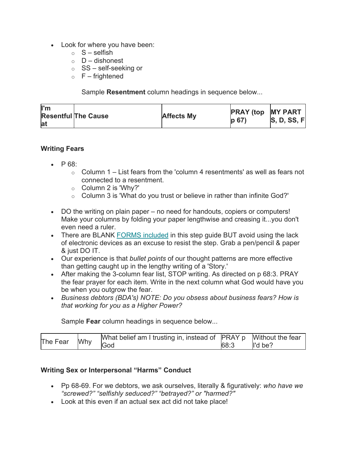- Look for where you have been:
	- $S -$ selfish
	- $O -$  dishonest
	- $\circ$  SS self-seeking or
	- $\circ$  F frightened

Sample **Resentment** column headings in sequence below...

| $\mathsf{I}'$ m |                            |                   | <b>PRAY (top MY PART)</b> |              |
|-----------------|----------------------------|-------------------|---------------------------|--------------|
|                 | <b>Resentful The Cause</b> | <b>Affects My</b> | p 67                      | S, D, SS, Fl |
| lat             |                            |                   |                           |              |

#### **Writing Fears**

- P 68:
	- $\circ$  Column 1 List fears from the 'column 4 resentments' as well as fears not connected to a resentment.
	- o Column 2 is 'Why?'
	- $\circ$  Column 3 is 'What do you trust or believe in rather than infinite God?'
- DO the writing on plain paper no need for handouts, copiers or computers! Make your columns by folding your paper lengthwise and creasing it...you don't even need a ruler.
- There are BLANK FORMS included in this step quide BUT avoid using the lack of electronic devices as an excuse to resist the step. Grab a pen/pencil & paper & just DO IT.
- Our experience is that *bullet points* of our thought patterns are more effective than getting caught up in the lengthy writing of a 'Story.'
- After making the 3-column fear list, STOP writing. As directed on p 68:3. PRAY the fear prayer for each item. Write in the next column what God would have you be when you outgrow the fear.
- *Business debtors (BDA's) NOTE: Do you obsess about business fears? How is that working for you as a Higher Power?*

Sample **Fear** column headings in sequence below...

| The Fear | Why | What belief am I trusting in, instead of PRAY p Without the fear |      |                    |
|----------|-----|------------------------------------------------------------------|------|--------------------|
|          |     | God                                                              | 68:3 | $\parallel$ 'd be? |

#### **Writing Sex or Interpersonal "Harms" Conduct**

- Pp 68-69. For we debtors, we ask ourselves, literally & figuratively: *who have we "screwed?" "selfishly seduced?" "betrayed?" or "harmed?"*
- Look at this even if an actual sex act did not take place!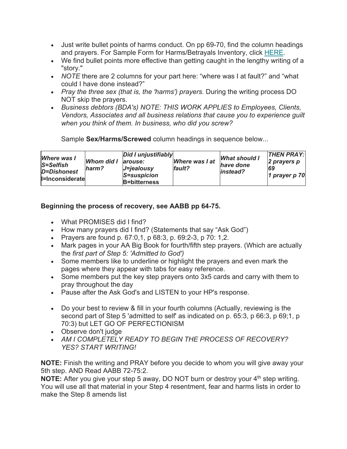- Just write bullet points of harms conduct. On pp 69-70, find the column headings and prayers. For Sample Form for Harms/Betrayals Inventory, click HERE.
- We find bullet points more effective than getting caught in the lengthy writing of a "story."
- *NOTE* there are 2 columns for your part here: "where was I at fault?" and "what could I have done instead?"
- *Pray the three sex (that is, the 'harms') prayers.* During the writing process DO NOT skip the prayers.
- *Business debtors (BDA's) NOTE: THIS WORK APPLIES to Employees, Clients, Vendors, Associates and all business relations that cause you to experience guilt when you think of them. In business, who did you screw?*

Sample **Sex/Harms/Screwed** column headings in sequence below...

| Where was I<br>$S =$ Selfish<br><b>D=Dishonest</b><br><b>I=Inconsiderate</b> | Whom did I<br>harm? | <b>Did I unjustifiably</b><br>arouse:<br>J=jealousy<br>S=suspicion<br><b>B</b> =bitterness | <b>Where was I at</b><br>fault? | <b>What should I</b><br>have done<br>linstead? | <b>THEN PRAY:</b><br>2 prayers p<br>69<br>1 prayer p 70 |
|------------------------------------------------------------------------------|---------------------|--------------------------------------------------------------------------------------------|---------------------------------|------------------------------------------------|---------------------------------------------------------|
|------------------------------------------------------------------------------|---------------------|--------------------------------------------------------------------------------------------|---------------------------------|------------------------------------------------|---------------------------------------------------------|

#### **Beginning the process of recovery, see AABB pp 64-75.**

- What PROMISES did I find?
- How many prayers did I find? (Statements that say "Ask God")
- Prayers are found p. 67:0,1, p 68:3, p. 69:2-3, p 70: 1,2.
- Mark pages in your AA Big Book for fourth/fifth step prayers. (Which are actually the *first part of Step 5: 'Admitted to God')*
- Some members like to underline or highlight the prayers and even mark the pages where they appear with tabs for easy reference.
- Some members put the key step prayers onto 3x5 cards and carry with them to pray throughout the day
- Pause after the Ask God's and LISTEN to your HP's response.
- Do your best to review & fill in your fourth columns (Actually, reviewing is the second part of Step 5 'admitted to self' as indicated on p. 65:3, p 66:3, p 69;1, p 70:3) but LET GO OF PERFECTIONISM
- Observe don't judge
- *AM I COMPLETELY READY TO BEGIN THE PROCESS OF RECOVERY? YES? START WRITING!*

**NOTE:** Finish the writing and PRAY before you decide to whom you will give away your 5th step. AND Read AABB 72-75:2.

**NOTE:** After you give your step 5 away, DO NOT burn or destroy your 4<sup>th</sup> step writing. You will use all that material in your Step 4 resentment, fear and harms lists in order to make the Step 8 amends list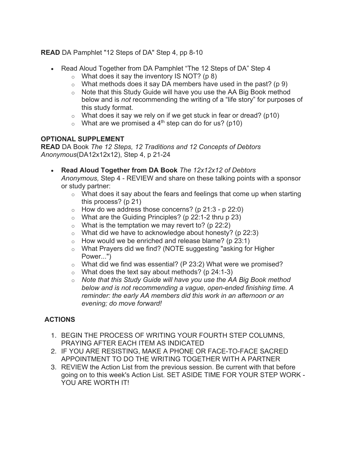**READ** DA Pamphlet "12 Steps of DA" Step 4, pp 8-10

- Read Aloud Together from DA Pamphlet "The 12 Steps of DA" Step 4
	- $\circ$  What does it say the inventory IS NOT? (p 8)
	- $\circ$  What methods does it say DA members have used in the past? (p 9)
	- o Note that this Study Guide will have you use the AA Big Book method below and is *not* recommending the writing of a "life story" for purposes of this study format.
	- $\circ$  What does it say we rely on if we get stuck in fear or dread? (p10)
	- $\circ$  What are we promised a 4<sup>th</sup> step can do for us? (p10)

#### **OPTIONAL SUPPLEMENT**

**READ** DA Book *The 12 Steps, 12 Traditions and 12 Concepts of Debtors Anonymous*(DA12x12x12), Step 4, p 21-24

- **Read Aloud Together from DA Book** *The 12x12x12 of Debtors Anonymous,* Step 4 - REVIEW and share on these talking points with a sponsor or study partner:
	- $\circ$  What does it say about the fears and feelings that come up when starting this process? (p 21)
	- $\circ$  How do we address those concerns? (p 21:3 p 22:0)
	- $\circ$  What are the Guiding Principles? (p 22:1-2 thru p 23)
	- $\circ$  What is the temptation we may revert to? (p 22:2)
	- $\circ$  What did we have to acknowledge about honesty? (p 22:3)
	- $\circ$  How would we be enriched and release blame? (p 23:1)
	- o What Prayers did we find? (NOTE suggesting "asking for Higher Power...")
	- $\circ$  What did we find was essential? (P 23:2) What were we promised?
	- $\circ$  What does the text say about methods? (p 24:1-3)
	- o *Note that this Study Guide will have you use the AA Big Book method below and is not recommending a vague, open-ended finishing time. A reminder: the early AA members did this work in an afternoon or an evening; do move forward!*

#### **ACTIONS**

- 1. BEGIN THE PROCESS OF WRITING YOUR FOURTH STEP COLUMNS, PRAYING AFTER EACH ITEM AS INDICATED
- 2. IF YOU ARE RESISTING, MAKE A PHONE OR FACE-TO-FACE SACRED APPOINTMENT TO DO THE WRITING TOGETHER WITH A PARTNER
- 3. REVIEW the Action List from the previous session. Be current with that before going on to this week's Action List. SET ASIDE TIME FOR YOUR STEP WORK - YOU ARE WORTH IT!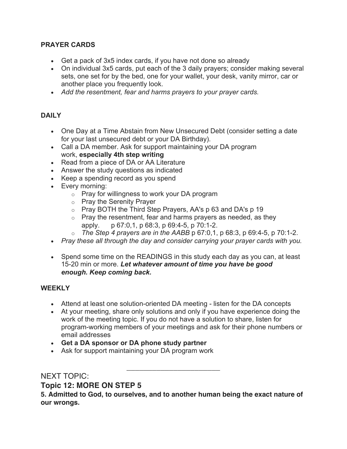#### **PRAYER CARDS**

- Get a pack of 3x5 index cards, if you have not done so already
- On individual 3x5 cards, put each of the 3 daily prayers; consider making several sets, one set for by the bed, one for your wallet, your desk, vanity mirror, car or another place you frequently look.
- *Add the resentment, fear and harms prayers to your prayer cards.*

#### **DAILY**

- One Day at a Time Abstain from New Unsecured Debt (consider setting a date for your last unsecured debt or your DA Birthday).
- Call a DA member. Ask for support maintaining your DA program work, **especially 4th step writing**
- Read from a piece of DA or AA Literature
- Answer the study questions as indicated
- Keep a spending record as you spend
- Every morning:
	- o Pray for willingness to work your DA program
	- o Pray the Serenity Prayer
	- o Pray BOTH the Third Step Prayers, AA's p 63 and DA's p 19
	- $\circ$  Pray the resentment, fear and harms prayers as needed, as they apply. p 67:0,1, p 68:3, p 69:4-5, p 70:1-2.
	- o *The Step 4 prayers are in the AABB* p 67:0,1, p 68:3, p 69:4-5, p 70:1-2.
- *Pray these all through the day and consider carrying your prayer cards with you.*
- Spend some time on the READINGS in this study each day as you can, at least 15-20 min or more. *Let whatever amount of time you have be good enough. Keep coming back.*

#### **WEEKLY**

- Attend at least one solution-oriented DA meeting listen for the DA concepts
- At your meeting, share only solutions and only if you have experience doing the work of the meeting topic. If you do not have a solution to share, listen for program-working members of your meetings and ask for their phone numbers or email addresses
- **Get a DA sponsor or DA phone study partner**
- Ask for support maintaining your DA program work

#### NEXT TOPIC:

**Topic 12: MORE ON STEP 5**

**5. Admitted to God, to ourselves, and to another human being the exact nature of our wrongs.**

\_\_\_\_\_\_\_\_\_\_\_\_\_\_\_\_\_\_\_\_\_\_